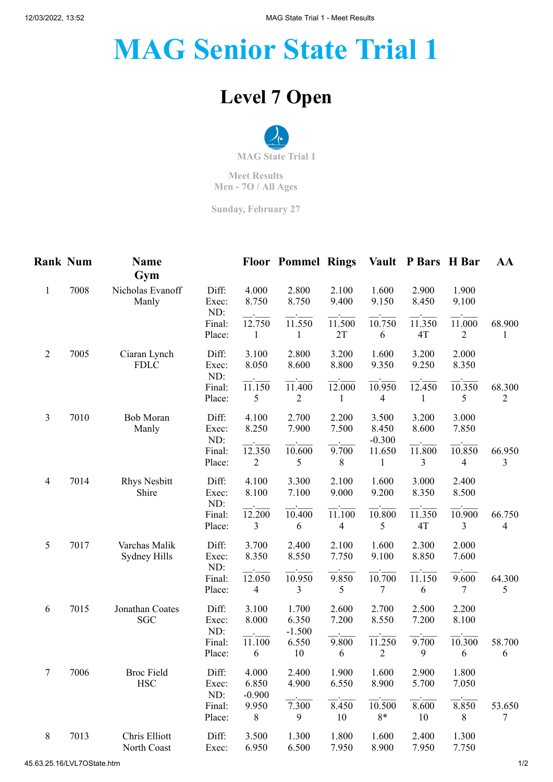## **MAG Senior State Trial 1**

## **Level 7 Open**



**Meet Results Men - 7O / All Ages**

**Sunday, February 27**

|                | <b>Rank Num</b> | <b>Name</b><br>Gym              |                         |                            | <b>Floor Pommel Rings</b>  |                           |                            | Vault P Bars H Bar        |                          | AA          |
|----------------|-----------------|---------------------------------|-------------------------|----------------------------|----------------------------|---------------------------|----------------------------|---------------------------|--------------------------|-------------|
| $\mathbf{1}$   | 7008            | Nicholas Evanoff<br>Manly       | Diff:<br>Exec:<br>ND:   | 4.000<br>8.750             | 2.800<br>8.750             | 2.100<br>9.400            | 1.600<br>9.150             | 2.900<br>8.450            | 1.900<br>9.100           |             |
|                |                 |                                 | Final:<br>Place:        | $\overline{12.750}$<br>1   | $\overline{11.550}$<br>1   | $\overline{11.500}$<br>2T | 10.750<br>6                | $\overline{11.350}$<br>4T | 11.000<br>$\overline{2}$ | 68.900<br>1 |
| $\overline{2}$ | 7005            | Ciaran Lynch<br><b>FDLC</b>     | Diff:<br>Exec:          | 3.100<br>8.050             | 2.800<br>8.600             | 3.200<br>8.800            | 1.600<br>9.350             | 3.200<br>9.250            | 2.000<br>8.350           |             |
|                |                 |                                 | ND:<br>Final:<br>Place: | 11.150<br>5                | 11.400<br>$\overline{c}$   | 12.000<br>$\mathbf{1}$    | 10.950<br>$\overline{4}$   | 12.450<br>$\mathbf{1}$    | 10.350<br>5              | 68.300<br>2 |
| 3              | 7010            | <b>Bob Moran</b><br>Manly       | Diff:<br>Exec:<br>ND:   | 4.100<br>8.250             | 2.700<br>7.900             | 2.200<br>7.500            | 3.500<br>8.450<br>$-0.300$ | 3.200<br>8.600            | 3.000<br>7.850           |             |
|                |                 |                                 | Final:<br>Place:        | 12.350<br>$\overline{2}$   | 10.600<br>5                | 9.700<br>8                | 11.650<br>$\mathbf{1}$     | 11.800<br>$\overline{3}$  | 10.850<br>4              | 66.950<br>3 |
| $\overline{4}$ | 7014            | <b>Rhys Nesbitt</b><br>Shire    | Diff:<br>Exec:<br>ND:   | 4.100<br>8.100             | 3.300<br>7.100             | 2.100<br>9.000            | 1.600<br>9.200             | 3.000<br>8.350            | 2.400<br>8.500           |             |
|                |                 |                                 | Final:<br>Place:        | 12.200<br>3                | 10.400<br>6                | 11.100<br>4               | 10.800<br>5                | 11.350<br>4T              | 10.900<br>3              | 66.750<br>4 |
| 5              | 7017            | Varchas Malik<br>Sydney Hills   | Diff:<br>Exec:<br>ND:   | 3.700<br>8.350             | 2.400<br>8.550             | 2.100<br>7.750            | 1.600<br>9.100             | 2.300<br>8.850            | 2.000<br>7.600           |             |
|                |                 |                                 | Final:<br>Place:        | 12.050<br>4                | 10.950<br>3                | 9.850<br>5                | 10.700<br>7                | 11.150<br>6               | 9.600<br>7               | 64.300<br>5 |
| 6              | 7015            | Jonathan Coates<br><b>SGC</b>   | Diff:<br>Exec:<br>ND:   | 3.100<br>8.000             | 1.700<br>6.350<br>$-1.500$ | 2.600<br>7.200            | 2.700<br>8.550             | 2.500<br>7.200            | 2.200<br>8.100           |             |
|                |                 |                                 | Final:<br>Place:        | 11.100<br>6                | 6.550<br>10                | 9.800<br>6                | 11.250<br>$\overline{c}$   | 9.700<br>9                | 10.300<br>6              | 58.700<br>6 |
|                | 7006            | <b>Broc Field</b><br><b>HSC</b> | Diff:<br>Exec:<br>ND:   | 4.000<br>6.850<br>$-0.900$ | 2.400<br>4.900             | 1.900<br>6.550            | 1.600<br>8.900             | 2.900<br>5.700            | 1.800<br>7.050           |             |
|                |                 |                                 | Final:<br>Place:        | 9.950<br>8                 | 7.300<br>9                 | 8.450<br>10               | 10.500<br>$8*$             | 8.600<br>10               | 8.850<br>8               | 53.650<br>7 |
| 8              | 7013            | Chris Elliott<br>North Coast    | Diff:<br>Exec:          | 3.500<br>6.950             | 1.300<br>6.500             | 1.800<br>7.950            | 1.600<br>8.900             | 2.400<br>7.950            | 1.300<br>7.750           |             |